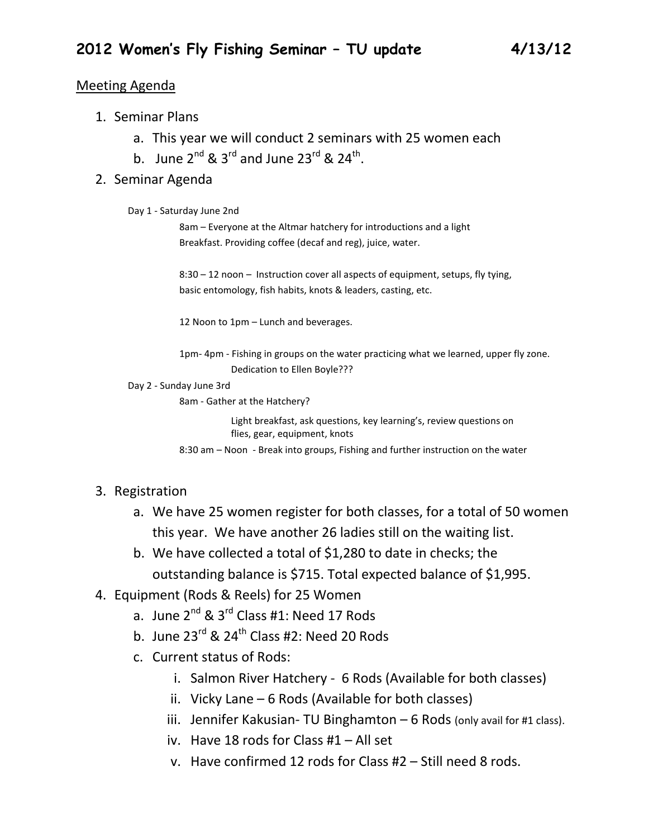### Meeting Agenda

- 1. Seminar Plans
	- a. This year we will conduct 2 seminars with 25 women each
	- b. June  $2^{nd}$  &  $3^{rd}$  and June  $23^{rd}$  &  $24^{th}$ .

### 2. Seminar Agenda

Day 1 - Saturday June 2nd

8am – Everyone at the Altmar hatchery for introductions and a light Breakfast. Providing coffee (decaf and reg), juice, water.

8:30 – 12 noon – Instruction cover all aspects of equipment, setups, fly tying, basic entomology, fish habits, knots & leaders, casting, etc.

12 Noon to 1pm – Lunch and beverages.

1pm- 4pm - Fishing in groups on the water practicing what we learned, upper fly zone. Dedication to Ellen Boyle???

Day 2 - Sunday June 3rd

8am - Gather at the Hatchery?

Light breakfast, ask questions, key learning's, review questions on flies, gear, equipment, knots

8:30 am – Noon - Break into groups, Fishing and further instruction on the water

## 3. Registration

- a. We have 25 women register for both classes, for a total of 50 women this year. We have another 26 ladies still on the waiting list.
- b. We have collected a total of \$1,280 to date in checks; the outstanding balance is \$715. Total expected balance of \$1,995.
- 4. Equipment (Rods & Reels) for 25 Women
	- a. June  $2^{nd}$  &  $3^{rd}$  Class #1: Need 17 Rods
	- b. June  $23^{\text{rd}}$  &  $24^{\text{th}}$  Class #2: Need 20 Rods
	- c. Current status of Rods:
		- i. Salmon River Hatchery 6 Rods (Available for both classes)
		- ii. Vicky Lane 6 Rods (Available for both classes)
		- iii. Jennifer Kakusian- TU Binghamton  $-6$  Rods (only avail for #1 class).
		- iv. Have 18 rods for Class #1 All set
		- v. Have confirmed 12 rods for Class #2 Still need 8 rods.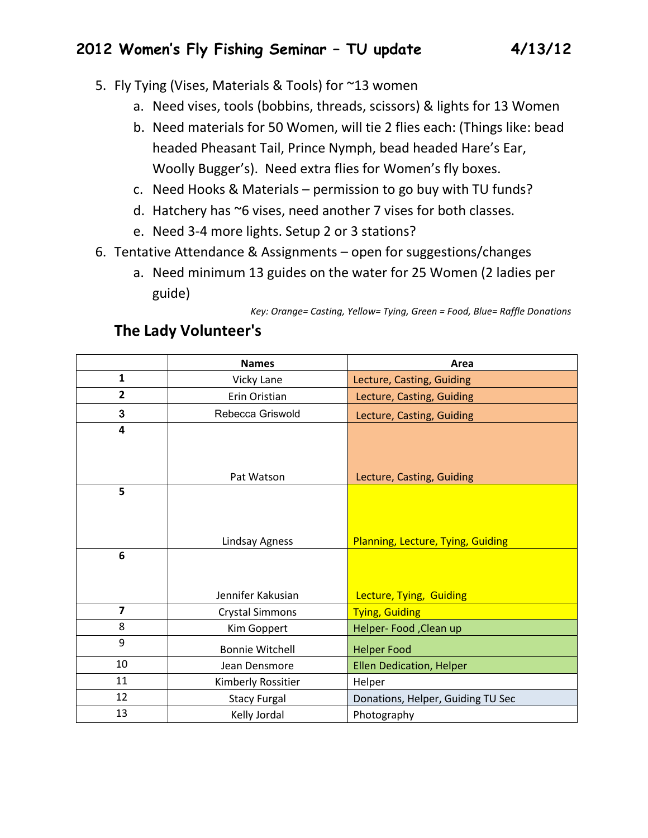- 5. Fly Tying (Vises, Materials & Tools) for ~13 women
	- a. Need vises, tools (bobbins, threads, scissors) & lights for 13 Women
	- b. Need materials for 50 Women, will tie 2 flies each: (Things like: bead headed Pheasant Tail, Prince Nymph, bead headed Hare's Ear, Woolly Bugger's). Need extra flies for Women's fly boxes.
	- c. Need Hooks & Materials permission to go buy with TU funds?
	- d. Hatchery has ~6 vises, need another 7 vises for both classes.
	- e. Need 3-4 more lights. Setup 2 or 3 stations?
- 6. Tentative Attendance & Assignments open for suggestions/changes
	- a. Need minimum 13 guides on the water for 25 Women (2 ladies per guide)

*Key: Orange= Casting, Yellow= Tying, Green = Food, Blue= Raffle Donations*

|                         | <b>Names</b>           | Area                              |
|-------------------------|------------------------|-----------------------------------|
| $\mathbf{1}$            | Vicky Lane             | Lecture, Casting, Guiding         |
| $\overline{2}$          | Erin Oristian          | Lecture, Casting, Guiding         |
| 3                       | Rebecca Griswold       | Lecture, Casting, Guiding         |
| $\overline{\mathbf{4}}$ |                        |                                   |
|                         |                        |                                   |
|                         |                        |                                   |
|                         | Pat Watson             | Lecture, Casting, Guiding         |
| 5                       |                        |                                   |
|                         |                        |                                   |
|                         |                        |                                   |
|                         | Lindsay Agness         | Planning, Lecture, Tying, Guiding |
| 6                       |                        |                                   |
|                         |                        |                                   |
|                         |                        |                                   |
|                         | Jennifer Kakusian      | Lecture, Tying, Guiding           |
| $\overline{7}$          | <b>Crystal Simmons</b> | <b>Tying, Guiding</b>             |
| 8                       | Kim Goppert            | Helper- Food , Clean up           |
| 9                       | <b>Bonnie Witchell</b> | <b>Helper Food</b>                |
| 10                      | Jean Densmore          | <b>Ellen Dedication, Helper</b>   |
| 11                      | Kimberly Rossitier     | Helper                            |
| 12                      | <b>Stacy Furgal</b>    | Donations, Helper, Guiding TU Sec |
| 13                      | Kelly Jordal           | Photography                       |

## **The Lady Volunteer's**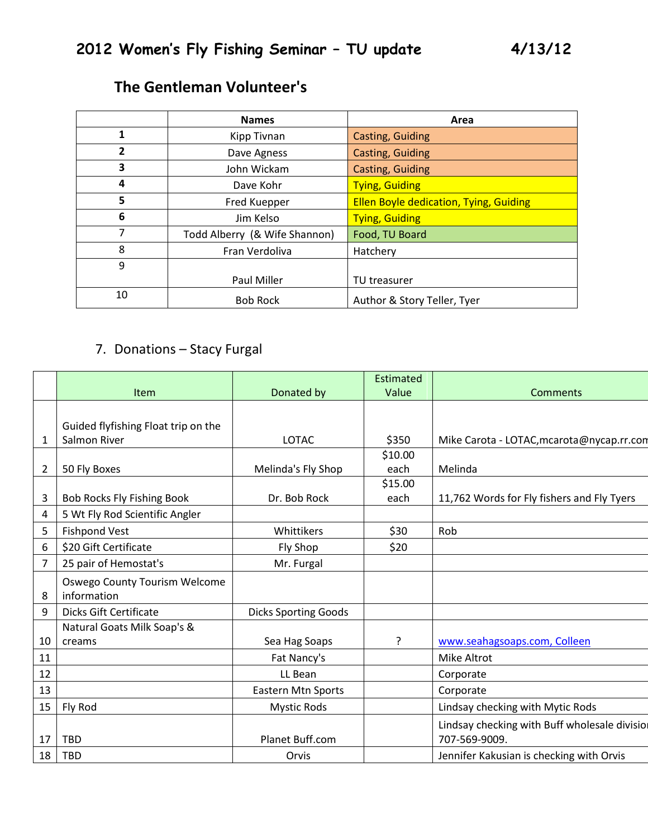|                | <b>Names</b>                  | Area                                          |
|----------------|-------------------------------|-----------------------------------------------|
| 1              | Kipp Tivnan                   | <b>Casting, Guiding</b>                       |
| $\overline{2}$ | Dave Agness                   | Casting, Guiding                              |
| 3              | John Wickam                   | Casting, Guiding                              |
| 4              | Dave Kohr                     | <b>Tying, Guiding</b>                         |
| 5              | Fred Kuepper                  | <b>Ellen Boyle dedication, Tying, Guiding</b> |
| 6              | Jim Kelso                     | <b>Tying, Guiding</b>                         |
| 7              | Todd Alberry (& Wife Shannon) | Food, TU Board                                |
| 8              | Fran Verdoliva                | Hatchery                                      |
| 9              |                               |                                               |
|                | Paul Miller                   | TU treasurer                                  |
| 10             | <b>Bob Rock</b>               | Author & Story Teller, Tyer                   |

# **The Gentleman Volunteer's**

# 7. Donations – Stacy Furgal

|    |                                     |                             | Estimated |                                              |
|----|-------------------------------------|-----------------------------|-----------|----------------------------------------------|
|    | <b>Item</b>                         | Donated by                  | Value     | <b>Comments</b>                              |
|    |                                     |                             |           |                                              |
|    | Guided flyfishing Float trip on the |                             |           |                                              |
| 1  | Salmon River                        | <b>LOTAC</b>                | \$350     | Mike Carota - LOTAC, mcarota@nycap.rr.con    |
|    |                                     |                             | \$10.00   |                                              |
| 2  | 50 Fly Boxes                        | Melinda's Fly Shop          | each      | Melinda                                      |
|    |                                     |                             | \$15.00   |                                              |
| 3  | Bob Rocks Fly Fishing Book          | Dr. Bob Rock                | each      | 11,762 Words for Fly fishers and Fly Tyers   |
| 4  | 5 Wt Fly Rod Scientific Angler      |                             |           |                                              |
| 5  | <b>Fishpond Vest</b>                | Whittikers                  | \$30      | Rob                                          |
| 6  | \$20 Gift Certificate               | Fly Shop                    | \$20      |                                              |
| 7  | 25 pair of Hemostat's               | Mr. Furgal                  |           |                                              |
|    | Oswego County Tourism Welcome       |                             |           |                                              |
| 8  | information                         |                             |           |                                              |
| 9  | <b>Dicks Gift Certificate</b>       | <b>Dicks Sporting Goods</b> |           |                                              |
|    | Natural Goats Milk Soap's &         |                             |           |                                              |
| 10 | creams                              | Sea Hag Soaps               | 5.        | www.seahagsoaps.com, Colleen                 |
| 11 |                                     | Fat Nancy's                 |           | <b>Mike Altrot</b>                           |
| 12 |                                     | LL Bean                     |           | Corporate                                    |
| 13 |                                     | <b>Eastern Mtn Sports</b>   |           | Corporate                                    |
| 15 | Fly Rod                             | <b>Mystic Rods</b>          |           | Lindsay checking with Mytic Rods             |
|    |                                     |                             |           | Lindsay checking with Buff wholesale divisio |
| 17 | <b>TBD</b>                          | Planet Buff.com             |           | 707-569-9009.                                |
| 18 | <b>TBD</b>                          | Orvis                       |           | Jennifer Kakusian is checking with Orvis     |